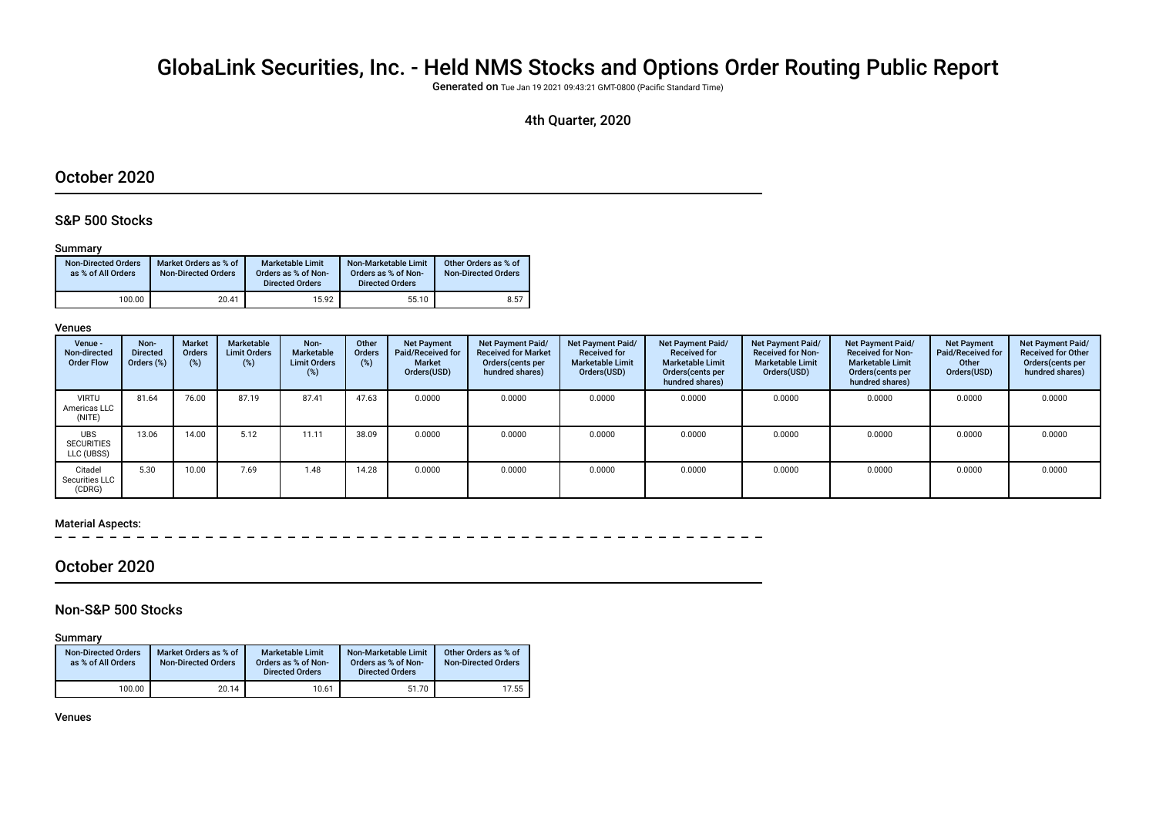# GlobaLink Securities, Inc. - Held NMS Stocks and Options Order Routing Public Report

Generated on Tue Jan 19 2021 09:43:21 GMT-0800 (Pacifc Standard Time)

### 4th Quarter, 2020

### October 2020

### S&P 500 Stocks

#### Summary

| <b>Non-Directed Orders</b><br>as % of All Orders | Market Orders as % of<br><b>Non-Directed Orders</b> | Marketable Limit<br>Orders as % of Non-<br><b>Directed Orders</b> | Non-Marketable Limit<br>Orders as % of Non-<br><b>Directed Orders</b> | Other Orders as % of<br><b>Non-Directed Orders</b> |
|--------------------------------------------------|-----------------------------------------------------|-------------------------------------------------------------------|-----------------------------------------------------------------------|----------------------------------------------------|
| 100.00                                           | 20.41                                               | 15.92                                                             | 55.10                                                                 | 8.57                                               |

#### Venues

| Venue -<br>Non-directed<br><b>Order Flow</b>  | Non-<br><b>Directed</b><br>Orders (%) | <b>Market</b><br>Orders<br>$(\%)$ | Marketable<br><b>Limit Orders</b><br>(%) | Non-<br>Marketable<br><b>Limit Orders</b><br>(%) | Other<br>Orders<br>(%) | <b>Net Payment</b><br>Paid/Received for<br>Market<br>Orders(USD) | <b>Net Payment Paid/</b><br><b>Received for Market</b><br>Orders(cents per<br>hundred shares) | Net Payment Paid/<br><b>Received for</b><br><b>Marketable Limit</b><br>Orders(USD) | Net Payment Paid/<br><b>Received for</b><br><b>Marketable Limit</b><br>Orders (cents per<br>hundred shares) | <b>Net Payment Paid/</b><br><b>Received for Non-</b><br><b>Marketable Limit</b><br>Orders(USD) | <b>Net Payment Paid/</b><br><b>Received for Non-</b><br><b>Marketable Limit</b><br>Orders (cents per<br>hundred shares) | <b>Net Payment</b><br>Paid/Received for<br>Other<br>Orders(USD) | Net Payment Paid/<br><b>Received for Other</b><br>Orders(cents per<br>hundred shares) |
|-----------------------------------------------|---------------------------------------|-----------------------------------|------------------------------------------|--------------------------------------------------|------------------------|------------------------------------------------------------------|-----------------------------------------------------------------------------------------------|------------------------------------------------------------------------------------|-------------------------------------------------------------------------------------------------------------|------------------------------------------------------------------------------------------------|-------------------------------------------------------------------------------------------------------------------------|-----------------------------------------------------------------|---------------------------------------------------------------------------------------|
| <b>VIRTU</b><br>Americas LLC<br>(NITE)        | 81.64                                 | 76.00                             | 87.19                                    | 87.41                                            | 47.63                  | 0.0000                                                           | 0.0000                                                                                        | 0.0000                                                                             | 0.0000                                                                                                      | 0.0000                                                                                         | 0.0000                                                                                                                  | 0.0000                                                          | 0.0000                                                                                |
| <b>UBS</b><br><b>SECURITIES</b><br>LLC (UBSS) | 13.06                                 | 14.00                             | 5.12                                     | 11.11                                            | 38.09                  | 0.0000                                                           | 0.0000                                                                                        | 0.0000                                                                             | 0.0000                                                                                                      | 0.0000                                                                                         | 0.0000                                                                                                                  | 0.0000                                                          | 0.0000                                                                                |
| Citadel<br>Securities LLC<br>(CDRG)           | 5.30                                  | 10.00                             | 7.69                                     | 1.48                                             | 14.28                  | 0.0000                                                           | 0.0000                                                                                        | 0.0000                                                                             | 0.0000                                                                                                      | 0.0000                                                                                         | 0.0000                                                                                                                  | 0.0000                                                          | 0.0000                                                                                |

#### Material Aspects:

## October 2020

### Non-S&P 500 Stocks

Summary

| <b>Non-Directed Orders</b><br>as % of All Orders | Market Orders as % of<br><b>Non-Directed Orders</b> | <b>Marketable Limit</b><br>Orders as % of Non-<br><b>Directed Orders</b> | Non-Marketable Limit<br>Orders as % of Non-<br><b>Directed Orders</b> | Other Orders as % of<br><b>Non-Directed Orders</b> |
|--------------------------------------------------|-----------------------------------------------------|--------------------------------------------------------------------------|-----------------------------------------------------------------------|----------------------------------------------------|
| 100.00                                           | 20.14                                               | 10.61                                                                    | 51.70                                                                 | 17.55                                              |

Venues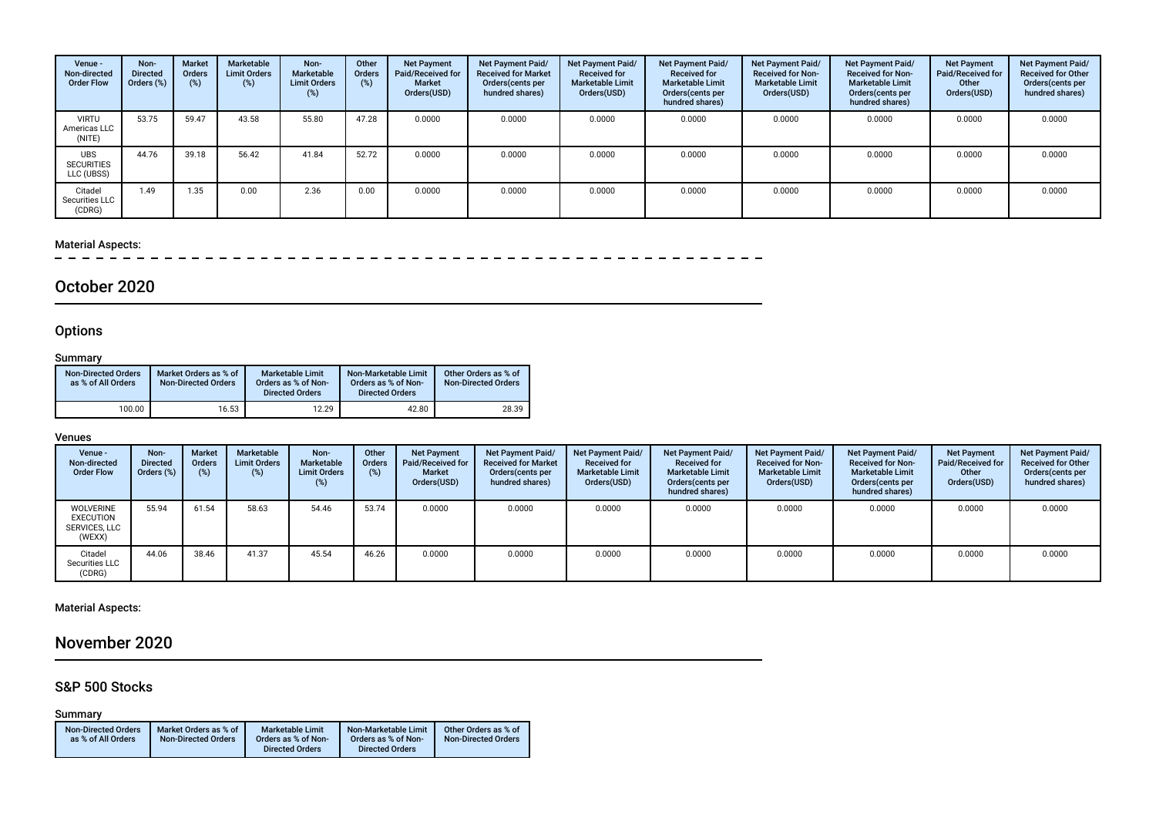| Venue -<br>Non-directed<br><b>Order Flow</b>  | Non-<br><b>Directed</b><br>Orders (%) | <b>Market</b><br>Orders<br>$(\%)$ | Marketable<br><b>Limit Orders</b><br>(%) | Non-<br>Marketable<br><b>Limit Orders</b><br>(%) | Other<br><b>Orders</b><br>(%) | <b>Net Payment</b><br>Paid/Received for<br><b>Market</b><br>Orders(USD) | <b>Net Payment Paid/</b><br><b>Received for Market</b><br>Orders(cents per<br>hundred shares) | Net Payment Paid/<br><b>Received for</b><br><b>Marketable Limit</b><br>Orders(USD) | Net Payment Paid/<br><b>Received for</b><br><b>Marketable Limit</b><br>Orders(cents per<br>hundred shares) | Net Payment Paid/<br><b>Received for Non-</b><br><b>Marketable Limit</b><br>Orders(USD) | Net Payment Paid/<br><b>Received for Non-</b><br><b>Marketable Limit</b><br>Orders(cents per<br>hundred shares) | <b>Net Payment</b><br>Paid/Received for<br>Other<br>Orders(USD) | Net Payment Paid/<br><b>Received for Other</b><br>Orders (cents per<br>hundred shares) |
|-----------------------------------------------|---------------------------------------|-----------------------------------|------------------------------------------|--------------------------------------------------|-------------------------------|-------------------------------------------------------------------------|-----------------------------------------------------------------------------------------------|------------------------------------------------------------------------------------|------------------------------------------------------------------------------------------------------------|-----------------------------------------------------------------------------------------|-----------------------------------------------------------------------------------------------------------------|-----------------------------------------------------------------|----------------------------------------------------------------------------------------|
| VIRTU<br>Americas LLC<br>(NITE)               | 53.75                                 | 59.47                             | 43.58                                    | 55.80                                            | 47.28                         | 0.0000                                                                  | 0.0000                                                                                        | 0.0000                                                                             | 0.0000                                                                                                     | 0.0000                                                                                  | 0.0000                                                                                                          | 0.0000                                                          | 0.0000                                                                                 |
| <b>UBS</b><br><b>SECURITIES</b><br>LLC (UBSS) | 44.76                                 | 39.18                             | 56.42                                    | 41.84                                            | 52.72                         | 0.0000                                                                  | 0.0000                                                                                        | 0.0000                                                                             | 0.0000                                                                                                     | 0.0000                                                                                  | 0.0000                                                                                                          | 0.0000                                                          | 0.0000                                                                                 |
| Citadel<br>Securities LLC<br>(CDRG)           | 1.49                                  | 1.35                              | 0.00                                     | 2.36                                             | 0.00                          | 0.0000                                                                  | 0.0000                                                                                        | 0.0000                                                                             | 0.0000                                                                                                     | 0.0000                                                                                  | 0.0000                                                                                                          | 0.0000                                                          | 0.0000                                                                                 |

# Material Aspects:<br> $- - - -$

# October 2020

### **Options**

### **Summary**

| <b>Non-Directed Orders</b><br>as % of All Orders | Market Orders as % of<br><b>Non-Directed Orders</b> | <b>Marketable Limit</b><br>Orders as % of Non-<br><b>Directed Orders</b> | Non-Marketable Limit<br>Orders as % of Non-<br><b>Directed Orders</b> | Other Orders as % of<br><b>Non-Directed Orders</b> |
|--------------------------------------------------|-----------------------------------------------------|--------------------------------------------------------------------------|-----------------------------------------------------------------------|----------------------------------------------------|
| 100.00                                           | 16.53                                               | 12.29                                                                    | 42.80                                                                 | 28.39                                              |

#### Venues

| Venue -<br>Non-directed<br><b>Order Flow</b>             | Non-<br><b>Directed</b><br>Orders (%) | <b>Market</b><br><b>Orders</b> | Marketable<br><b>Limit Orders</b><br>$(\%)$ | Non-<br>Marketable<br><b>Limit Orders</b><br>(%) | Other<br><b>Orders</b><br>$(\%)$ | <b>Net Payment</b><br>Paid/Received for<br><b>Market</b><br>Orders(USD) | Net Payment Paid/<br><b>Received for Market</b><br>Orders(cents per<br>hundred shares) | Net Payment Paid/<br><b>Received for</b><br><b>Marketable Limit</b><br>Orders(USD) | <b>Net Payment Paid/</b><br><b>Received for</b><br><b>Marketable Limit</b><br>Orders (cents per<br>hundred shares) | Net Payment Paid/<br><b>Received for Non-</b><br><b>Marketable Limit</b><br>Orders(USD) | Net Payment Paid/<br><b>Received for Non-</b><br><b>Marketable Limit</b><br>Orders(cents per<br>hundred shares) | <b>Net Payment</b><br><b>Paid/Received for</b><br>Other<br>Orders(USD) | Net Payment Paid/<br><b>Received for Other</b><br>Orders (cents per<br>hundred shares) |
|----------------------------------------------------------|---------------------------------------|--------------------------------|---------------------------------------------|--------------------------------------------------|----------------------------------|-------------------------------------------------------------------------|----------------------------------------------------------------------------------------|------------------------------------------------------------------------------------|--------------------------------------------------------------------------------------------------------------------|-----------------------------------------------------------------------------------------|-----------------------------------------------------------------------------------------------------------------|------------------------------------------------------------------------|----------------------------------------------------------------------------------------|
| WOLVERINE<br><b>EXECUTION</b><br>SERVICES, LLC<br>(WEXX) | 55.94                                 | 61.54                          | 58.63                                       | 54.46                                            | 53.74                            | 0.0000                                                                  | 0.0000                                                                                 | 0.0000                                                                             | 0.0000                                                                                                             | 0.0000                                                                                  | 0.0000                                                                                                          | 0.0000                                                                 | 0.0000                                                                                 |
| Citadel<br>Securities LLC<br>(CDRG)                      | 44.06                                 | 38.46                          | 41.37                                       | 45.54                                            | 46.26                            | 0.0000                                                                  | 0.0000                                                                                 | 0.0000                                                                             | 0.0000                                                                                                             | 0.0000                                                                                  | 0.0000                                                                                                          | 0.0000                                                                 | 0.0000                                                                                 |

Material Aspects:

# November 2020

### S&P 500 Stocks

Summary

| <b>Non-Directed Orders</b> | Market Orders as % of      | <b>Marketable Limit</b> | Non-Marketable Limit   | Other Orders as % of       |
|----------------------------|----------------------------|-------------------------|------------------------|----------------------------|
| as % of All Orders         | <b>Non-Directed Orders</b> | Orders as % of Non-     | Orders as % of Non-    | <b>Non-Directed Orders</b> |
|                            |                            | <b>Directed Orders</b>  | <b>Directed Orders</b> |                            |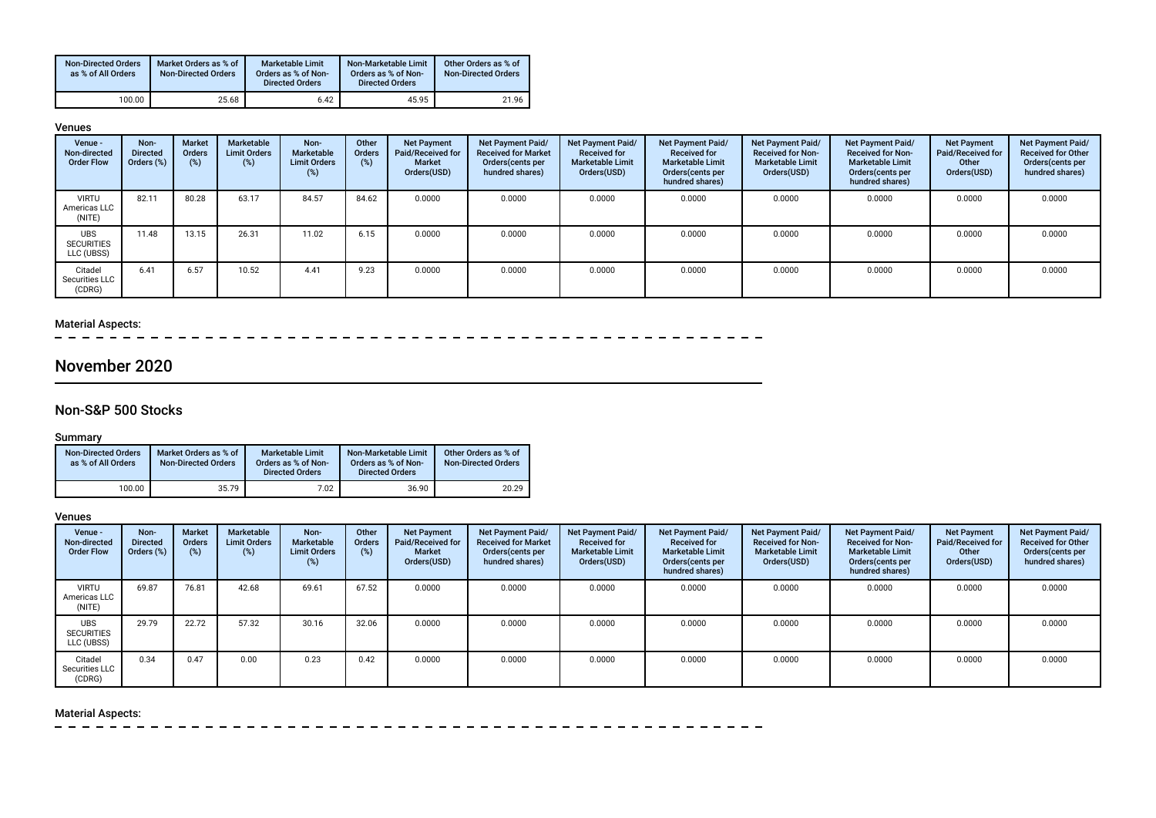| <b>Non-Directed Orders</b><br>as % of All Orders | Market Orders as % of<br><b>Non-Directed Orders</b> | Marketable Limit<br>Orders as % of Non-<br><b>Directed Orders</b> | Non-Marketable Limit<br>Orders as % of Non-<br><b>Directed Orders</b> | Other Orders as % of<br><b>Non-Directed Orders</b> |
|--------------------------------------------------|-----------------------------------------------------|-------------------------------------------------------------------|-----------------------------------------------------------------------|----------------------------------------------------|
| 100.00                                           | 25.68                                               | 6.42                                                              | 45.95                                                                 | 21.96                                              |

#### Venues

| Venue -<br>Non-directed<br><b>Order Flow</b>  | Non-<br><b>Directed</b><br>Orders (%) | <b>Market</b><br><b>Orders</b><br>$(\%)$ | Marketable<br><b>Limit Orders</b><br>$(\%)$ | Non-<br>Marketable<br><b>Limit Orders</b><br>(%) | Other<br><b>Orders</b><br>(%) | <b>Net Payment</b><br>Paid/Received for<br><b>Market</b><br>Orders(USD) | <b>Net Payment Paid/</b><br><b>Received for Market</b><br>Orders (cents per<br>hundred shares) | Net Payment Paid/<br><b>Received for</b><br><b>Marketable Limit</b><br>Orders(USD) | Net Payment Paid/<br><b>Received for</b><br><b>Marketable Limit</b><br>Orders(cents per<br>hundred shares) | Net Payment Paid/<br><b>Received for Non-</b><br><b>Marketable Limit</b><br>Orders(USD) | Net Payment Paid/<br><b>Received for Non-</b><br><b>Marketable Limit</b><br>Orders (cents per<br>hundred shares) | <b>Net Payment</b><br>Paid/Received for<br>Other<br>Orders(USD) | Net Payment Paid/<br><b>Received for Other</b><br>Orders (cents per<br>hundred shares) |
|-----------------------------------------------|---------------------------------------|------------------------------------------|---------------------------------------------|--------------------------------------------------|-------------------------------|-------------------------------------------------------------------------|------------------------------------------------------------------------------------------------|------------------------------------------------------------------------------------|------------------------------------------------------------------------------------------------------------|-----------------------------------------------------------------------------------------|------------------------------------------------------------------------------------------------------------------|-----------------------------------------------------------------|----------------------------------------------------------------------------------------|
| <b>VIRTU</b><br>Americas LLC<br>(NITE)        | 82.11                                 | 80.28                                    | 63.17                                       | 84.57                                            | 84.62                         | 0.0000                                                                  | 0.0000                                                                                         | 0.0000                                                                             | 0.0000                                                                                                     | 0.0000                                                                                  | 0.0000                                                                                                           | 0.0000                                                          | 0.0000                                                                                 |
| <b>UBS</b><br><b>SECURITIES</b><br>LLC (UBSS) | 11.48                                 | 13.15                                    | 26.31                                       | 11.02                                            | 6.15                          | 0.0000                                                                  | 0.0000                                                                                         | 0.0000                                                                             | 0.0000                                                                                                     | 0.0000                                                                                  | 0.0000                                                                                                           | 0.0000                                                          | 0.0000                                                                                 |
| Citadel<br>Securities LLC<br>(CDRG)           | 6.41                                  | 6.57                                     | 10.52                                       | 4.41                                             | 9.23                          | 0.0000                                                                  | 0.0000                                                                                         | 0.0000                                                                             | 0.0000                                                                                                     | 0.0000                                                                                  | 0.0000                                                                                                           | 0.0000                                                          | 0.0000                                                                                 |

### Material Aspects:

 $\overline{\phantom{a}}$ 

# November 2020

### Non-S&P 500 Stocks

### Summary

| <b>Non-Directed Orders</b><br>as % of All Orders | Market Orders as % of<br><b>Non-Directed Orders</b> | Marketable Limit<br>Orders as % of Non-<br><b>Directed Orders</b> | Non-Marketable Limit<br>Orders as % of Non-<br><b>Directed Orders</b> | Other Orders as % of<br><b>Non-Directed Orders</b> |
|--------------------------------------------------|-----------------------------------------------------|-------------------------------------------------------------------|-----------------------------------------------------------------------|----------------------------------------------------|
| 100.00                                           | 35.79                                               | 7.02                                                              | 36.90                                                                 | 20.29                                              |

#### Venues

| Venue -<br>Non-directed<br><b>Order Flow</b>  | Non-<br><b>Directed</b><br>Orders (%) | <b>Market</b><br><b>Orders</b><br>$(\%)$ | Marketable<br><b>Limit Orders</b><br>$(\%)$ | Non-<br>Marketable<br><b>Limit Orders</b><br>(%) | Other<br><b>Orders</b><br>(%) | <b>Net Payment</b><br>Paid/Received for<br>Market<br>Orders(USD) | Net Payment Paid/<br><b>Received for Market</b><br>Orders (cents per<br>hundred shares) | Net Payment Paid/<br><b>Received for</b><br><b>Marketable Limit</b><br>Orders(USD) | <b>Net Payment Paid/</b><br><b>Received for</b><br><b>Marketable Limit</b><br>Orders (cents per<br>hundred shares) | Net Payment Paid/<br><b>Received for Non-</b><br><b>Marketable Limit</b><br>Orders(USD) | Net Payment Paid/<br><b>Received for Non-</b><br><b>Marketable Limit</b><br>Orders (cents per<br>hundred shares) | <b>Net Payment</b><br>Paid/Received for<br>Other<br>Orders(USD) | Net Payment Paid/<br><b>Received for Other</b><br>Orders (cents per<br>hundred shares) |
|-----------------------------------------------|---------------------------------------|------------------------------------------|---------------------------------------------|--------------------------------------------------|-------------------------------|------------------------------------------------------------------|-----------------------------------------------------------------------------------------|------------------------------------------------------------------------------------|--------------------------------------------------------------------------------------------------------------------|-----------------------------------------------------------------------------------------|------------------------------------------------------------------------------------------------------------------|-----------------------------------------------------------------|----------------------------------------------------------------------------------------|
| <b>VIRTU</b><br>Americas LLC<br>(NITE)        | 69.87                                 | 76.81                                    | 42.68                                       | 69.61                                            | 67.52                         | 0.0000                                                           | 0.0000                                                                                  | 0.0000                                                                             | 0.0000                                                                                                             | 0.0000                                                                                  | 0.0000                                                                                                           | 0.0000                                                          | 0.0000                                                                                 |
| <b>UBS</b><br><b>SECURITIES</b><br>LLC (UBSS) | 29.79                                 | 22.72                                    | 57.32                                       | 30.16                                            | 32.06                         | 0.0000                                                           | 0.0000                                                                                  | 0.0000                                                                             | 0.0000                                                                                                             | 0.0000                                                                                  | 0.0000                                                                                                           | 0.0000                                                          | 0.0000                                                                                 |
| Citadel<br>Securities LLC<br>(CDRG)           | 0.34                                  | 0.47                                     | 0.00                                        | 0.23                                             | 0.42                          | 0.0000                                                           | 0.0000                                                                                  | 0.0000                                                                             | 0.0000                                                                                                             | 0.0000                                                                                  | 0.0000                                                                                                           | 0.0000                                                          | 0.0000                                                                                 |

### Material Aspects:

 $\sim$  $\sim$  $-$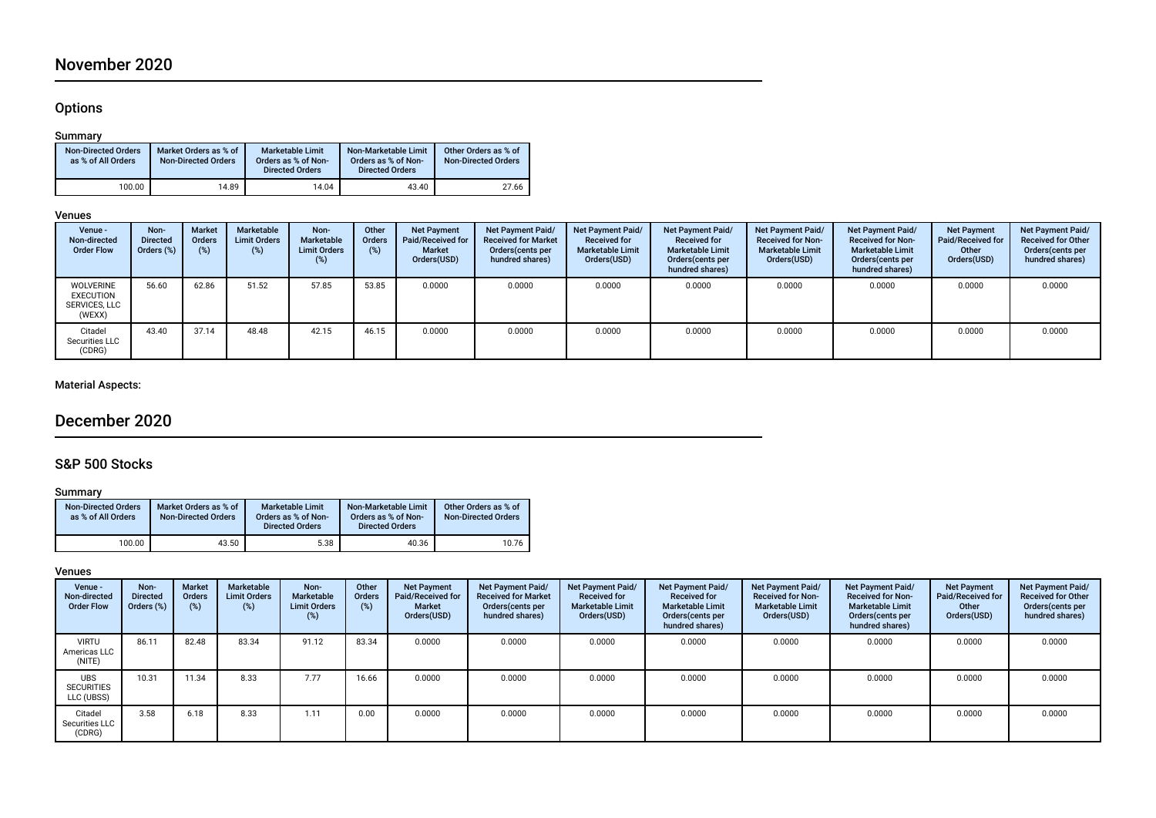# November 2020

### **Options**

### Summary

| <b>Non-Directed Orders</b><br>as % of All Orders | Market Orders as % of<br><b>Non-Directed Orders</b> | Marketable Limit<br>Orders as % of Non-<br><b>Directed Orders</b> | Non-Marketable Limit<br>Orders as % of Non-<br><b>Directed Orders</b> | Other Orders as % of<br><b>Non-Directed Orders</b> |
|--------------------------------------------------|-----------------------------------------------------|-------------------------------------------------------------------|-----------------------------------------------------------------------|----------------------------------------------------|
| 100.00                                           | 14.89                                               | 14.04                                                             | 43.40                                                                 | 27.66                                              |

### Venues

| Venue -<br>Non-directed<br><b>Order Flow</b>                    | Non-<br><b>Directed</b><br>Orders (%) | <b>Market</b><br><b>Orders</b><br>(%) | Marketable<br><b>Limit Orders</b><br>(%) | Non-<br><b>Marketable</b><br><b>Limit Orders</b><br>(%) | Other<br>Orders<br>$(\%)$ | <b>Net Payment</b><br>Paid/Received for<br><b>Market</b><br>Orders(USD) | Net Payment Paid/<br><b>Received for Market</b><br>Orders(cents per<br>hundred shares) | Net Payment Paid/<br><b>Received for</b><br><b>Marketable Limit</b><br>Orders(USD) | <b>Net Payment Paid/</b><br><b>Received for</b><br><b>Marketable Limit</b><br>Orders (cents per<br>hundred shares) | Net Payment Paid/<br><b>Received for Non-</b><br><b>Marketable Limit</b><br>Orders(USD) | Net Payment Paid/<br><b>Received for Non-</b><br><b>Marketable Limit</b><br>Orders(cents per<br>hundred shares) | <b>Net Payment</b><br>Paid/Received for<br>Other<br>Orders(USD) | Net Payment Paid/<br><b>Received for Other</b><br>Orders(cents per<br>hundred shares) |
|-----------------------------------------------------------------|---------------------------------------|---------------------------------------|------------------------------------------|---------------------------------------------------------|---------------------------|-------------------------------------------------------------------------|----------------------------------------------------------------------------------------|------------------------------------------------------------------------------------|--------------------------------------------------------------------------------------------------------------------|-----------------------------------------------------------------------------------------|-----------------------------------------------------------------------------------------------------------------|-----------------------------------------------------------------|---------------------------------------------------------------------------------------|
| <b>WOLVERINE</b><br><b>EXECUTION</b><br>SERVICES, LLC<br>(WEXX) | 56.60                                 | 62.86                                 | 51.52                                    | 57.85                                                   | 53.85                     | 0.0000                                                                  | 0.0000                                                                                 | 0.0000                                                                             | 0.0000                                                                                                             | 0.0000                                                                                  | 0.0000                                                                                                          | 0.0000                                                          | 0.0000                                                                                |
| Citadel<br>Securities LLC<br>(CDRG)                             | 43.40                                 | 37.14                                 | 48.48                                    | 42.15                                                   | 46.15                     | 0.0000                                                                  | 0.0000                                                                                 | 0.0000                                                                             | 0.0000                                                                                                             | 0.0000                                                                                  | 0.0000                                                                                                          | 0.0000                                                          | 0.0000                                                                                |

### Material Aspects:

# December 2020

### S&P 500 Stocks

### **Summary**

| <b>Non-Directed Orders</b><br>as % of All Orders | Market Orders as % of<br><b>Non-Directed Orders</b> | <b>Marketable Limit</b><br>Orders as % of Non-<br><b>Directed Orders</b> | Non-Marketable Limit<br>Orders as % of Non-<br><b>Directed Orders</b> | Other Orders as % of<br><b>Non-Directed Orders</b> |
|--------------------------------------------------|-----------------------------------------------------|--------------------------------------------------------------------------|-----------------------------------------------------------------------|----------------------------------------------------|
| 100.00                                           | 43.50                                               | 5.38                                                                     | 40.36                                                                 | 10.76                                              |

### Venues

| Venue -<br>Non-directed<br><b>Order Flow</b>  | Non-<br><b>Directed</b><br>Orders (%) | <b>Market</b><br><b>Orders</b><br>$(\%)$ | Marketable<br><b>Limit Orders</b><br>$(\%)$ | Non-<br>Marketable<br><b>Limit Orders</b><br>(%) | Other<br><b>Orders</b><br>(%) | <b>Net Payment</b><br>Paid/Received for<br><b>Market</b><br>Orders(USD) | Net Payment Paid/<br><b>Received for Market</b><br>Orders (cents per<br>hundred shares) | <b>Net Payment Paid/</b><br><b>Received for</b><br><b>Marketable Limit</b><br>Orders(USD) | <b>Net Payment Paid/</b><br><b>Received for</b><br><b>Marketable Limit</b><br>Orders(cents per<br>hundred shares) | Net Payment Paid/<br><b>Received for Non-</b><br><b>Marketable Limit</b><br>Orders(USD) | Net Payment Paid/<br><b>Received for Non-</b><br><b>Marketable Limit</b><br>Orders (cents per<br>hundred shares) | <b>Net Payment</b><br>Paid/Received for<br>Other<br>Orders(USD) | <b>Net Payment Paid/</b><br><b>Received for Other</b><br>Orders(cents per<br>hundred shares) |
|-----------------------------------------------|---------------------------------------|------------------------------------------|---------------------------------------------|--------------------------------------------------|-------------------------------|-------------------------------------------------------------------------|-----------------------------------------------------------------------------------------|-------------------------------------------------------------------------------------------|-------------------------------------------------------------------------------------------------------------------|-----------------------------------------------------------------------------------------|------------------------------------------------------------------------------------------------------------------|-----------------------------------------------------------------|----------------------------------------------------------------------------------------------|
| VIRTU<br>Americas LLC<br>(NITE)               | 86.11                                 | 82.48                                    | 83.34                                       | 91.12                                            | 83.34                         | 0.0000                                                                  | 0.0000                                                                                  | 0.0000                                                                                    | 0.0000                                                                                                            | 0.0000                                                                                  | 0.0000                                                                                                           | 0.0000                                                          | 0.0000                                                                                       |
| <b>UBS</b><br><b>SECURITIES</b><br>LLC (UBSS) | 10.31                                 | 11.34                                    | 8.33                                        | 7.77                                             | 16.66                         | 0.0000                                                                  | 0.0000                                                                                  | 0.0000                                                                                    | 0.0000                                                                                                            | 0.0000                                                                                  | 0.0000                                                                                                           | 0.0000                                                          | 0.0000                                                                                       |
| Citadel<br>Securities LLC<br>(CDRG)           | 3.58                                  | 6.18                                     | 8.33                                        | 1.11                                             | 0.00                          | 0.0000                                                                  | 0.0000                                                                                  | 0.0000                                                                                    | 0.0000                                                                                                            | 0.0000                                                                                  | 0.0000                                                                                                           | 0.0000                                                          | 0.0000                                                                                       |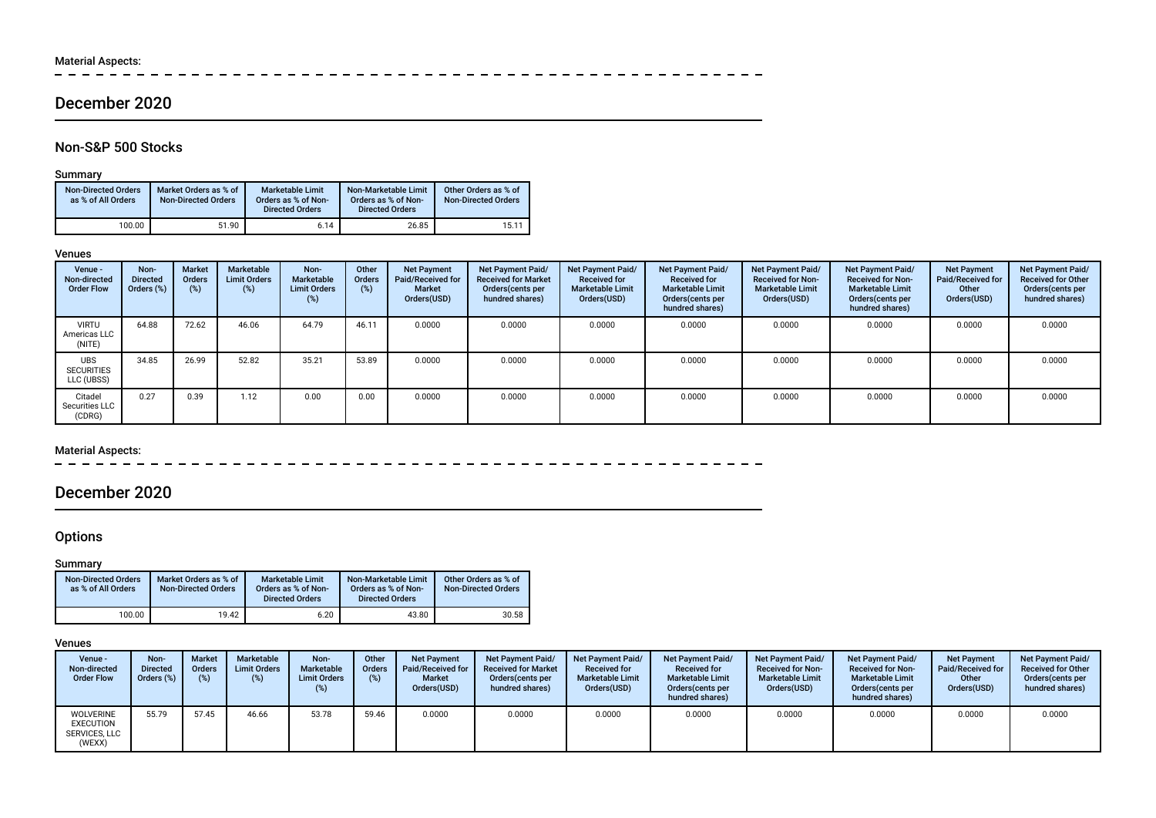# Material Aspects:<br> $= - -$

-----------------------

# December 2020

### Non-S&P 500 Stocks

### **Summary**

| <b>Non-Directed Orders</b><br>as % of All Orders | Market Orders as % of<br><b>Non-Directed Orders</b> | Marketable Limit<br>Orders as % of Non-<br><b>Directed Orders</b> | Non-Marketable Limit<br>Orders as % of Non-<br><b>Directed Orders</b> | Other Orders as % of<br><b>Non-Directed Orders</b> |
|--------------------------------------------------|-----------------------------------------------------|-------------------------------------------------------------------|-----------------------------------------------------------------------|----------------------------------------------------|
| 100.00                                           | 51.90                                               | 6.14                                                              | 26.85                                                                 | 15.11                                              |

#### Venues

| Venue -<br>Non-directed<br><b>Order Flow</b>  | Non-<br>Directed<br>Orders (%) | <b>Market</b><br><b>Orders</b><br>(%) | Marketable<br><b>Limit Orders</b><br>(%) | Non-<br>Marketable<br><b>Limit Orders</b><br>(%) | Other<br><b>Orders</b><br>(%) | <b>Net Payment</b><br>Paid/Received for<br><b>Market</b><br>Orders(USD) | Net Payment Paid/<br><b>Received for Market</b><br>Orders(cents per<br>hundred shares) | Net Payment Paid/<br><b>Received for</b><br><b>Marketable Limit</b><br>Orders(USD) | <b>Net Payment Paid/</b><br><b>Received for</b><br><b>Marketable Limit</b><br>Orders(cents per<br>hundred shares) | Net Payment Paid/<br><b>Received for Non-</b><br><b>Marketable Limit</b><br>Orders(USD) | Net Payment Paid/<br><b>Received for Non-</b><br><b>Marketable Limit</b><br>Orders (cents per<br>hundred shares) | <b>Net Payment</b><br>Paid/Received for<br>Other<br>Orders(USD) | Net Payment Paid/<br><b>Received for Other</b><br>Orders(cents per<br>hundred shares) |
|-----------------------------------------------|--------------------------------|---------------------------------------|------------------------------------------|--------------------------------------------------|-------------------------------|-------------------------------------------------------------------------|----------------------------------------------------------------------------------------|------------------------------------------------------------------------------------|-------------------------------------------------------------------------------------------------------------------|-----------------------------------------------------------------------------------------|------------------------------------------------------------------------------------------------------------------|-----------------------------------------------------------------|---------------------------------------------------------------------------------------|
| <b>VIRTU</b><br>Americas LLC<br>(NITE)        | 64.88                          | 72.62                                 | 46.06                                    | 64.79                                            | 46.11                         | 0.0000                                                                  | 0.0000                                                                                 | 0.0000                                                                             | 0.0000                                                                                                            | 0.0000                                                                                  | 0.0000                                                                                                           | 0.0000                                                          | 0.0000                                                                                |
| <b>UBS</b><br><b>SECURITIES</b><br>LLC (UBSS) | 34.85                          | 26.99                                 | 52.82                                    | 35.21                                            | 53.89                         | 0.0000                                                                  | 0.0000                                                                                 | 0.0000                                                                             | 0.0000                                                                                                            | 0.0000                                                                                  | 0.0000                                                                                                           | 0.0000                                                          | 0.0000                                                                                |
| Citadel<br>Securities LLC<br>(CDRG)           | 0.27                           | 0.39                                  | 1.12                                     | 0.00                                             | 0.00                          | 0.0000                                                                  | 0.0000                                                                                 | 0.0000                                                                             | 0.0000                                                                                                            | 0.0000                                                                                  | 0.0000                                                                                                           | 0.0000                                                          | 0.0000                                                                                |

### Material Aspects:

 $\equiv$   $\equiv$  $\equiv$  $\overline{\phantom{a}}$  $\equiv$  $\overline{\phantom{a}}$ 

# December 2020

### **Options**

#### Summary

| <b>Non-Directed Orders</b><br>as % of All Orders | Market Orders as % of<br><b>Non-Directed Orders</b> | <b>Marketable Limit</b><br>Orders as % of Non-<br><b>Directed Orders</b> | Non-Marketable Limit<br>Orders as % of Non-<br><b>Directed Orders</b> | Other Orders as % of<br><b>Non-Directed Orders</b> |  |
|--------------------------------------------------|-----------------------------------------------------|--------------------------------------------------------------------------|-----------------------------------------------------------------------|----------------------------------------------------|--|
| 100.00                                           | 19.42                                               | 6.20                                                                     | 43.80                                                                 | 30.58                                              |  |

#### Venues

| Venue -<br>Non-directed<br><b>Order Flow</b>                    | Non-<br><b>Directed</b><br>Orders (%) | <b>Market</b><br><b>Orders</b> | <b>Marketable</b><br><b>Limit Orders</b><br>(%) | Non-<br>Marketable<br><b>Limit Orders</b><br>$(\%)$ | Other<br>Orders | <b>Net Payment</b><br><b>Paid/Received for</b><br><b>Market</b><br>Orders(USD) | <b>Net Payment Paid/</b><br><b>Received for Market</b><br>Orders(cents per<br>hundred shares) | Net Payment Paid/<br><b>Received for</b><br><b>Marketable Limit</b><br>Orders(USD) | Net Payment Paid/<br><b>Received for</b><br><b>Marketable Limit</b><br>Orders(cents per<br>hundred shares) | Net Payment Paid/<br><b>Received for Non-</b><br><b>Marketable Limit</b><br>Orders(USD) | Net Payment Paid/<br><b>Received for Non-</b><br><b>Marketable Limit</b><br>Orders (cents per<br>hundred shares) | <b>Net Payment</b><br>Paid/Received for<br>Other<br>Orders(USD) | Net Payment Paid/<br><b>Received for Other</b><br>Orders(cents per<br>hundred shares) |
|-----------------------------------------------------------------|---------------------------------------|--------------------------------|-------------------------------------------------|-----------------------------------------------------|-----------------|--------------------------------------------------------------------------------|-----------------------------------------------------------------------------------------------|------------------------------------------------------------------------------------|------------------------------------------------------------------------------------------------------------|-----------------------------------------------------------------------------------------|------------------------------------------------------------------------------------------------------------------|-----------------------------------------------------------------|---------------------------------------------------------------------------------------|
| <b>WOLVERINE</b><br><b>EXECUTION</b><br>SERVICES. LLC<br>(WEXX) | 55.79                                 | 57.45                          | 46.66                                           | 53.78                                               | 59.46           | 0.0000                                                                         | 0.0000                                                                                        | 0.0000                                                                             | 0.0000                                                                                                     | 0.0000                                                                                  | 0.0000                                                                                                           | 0.0000                                                          | 0.0000                                                                                |